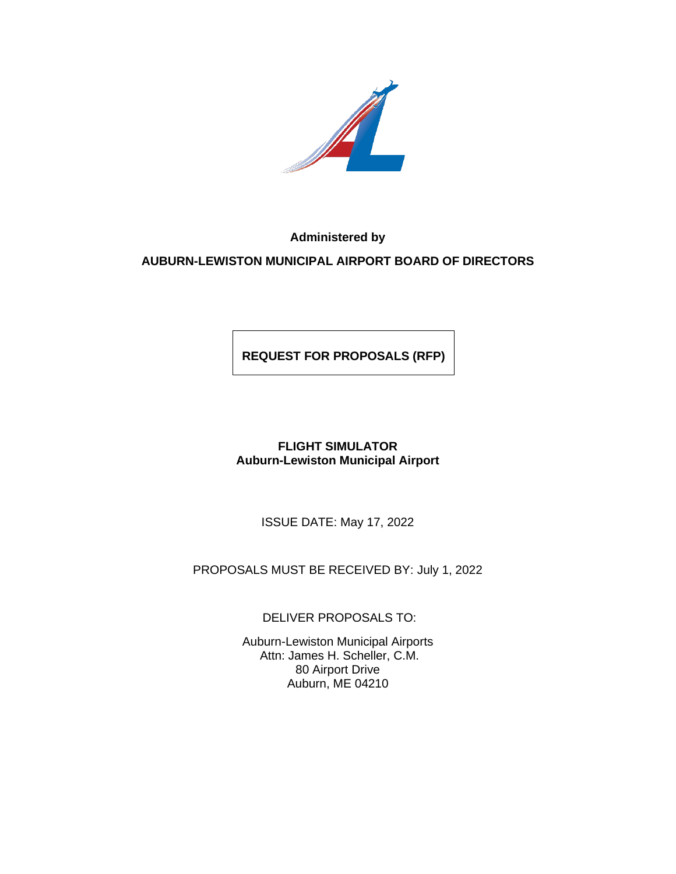

**Administered by** 

**AUBURN-LEWISTON MUNICIPAL AIRPORT BOARD OF DIRECTORS**

**REQUEST FOR PROPOSALS (RFP)**

# **FLIGHT SIMULATOR Auburn-Lewiston Municipal Airport**

ISSUE DATE: May 17, 2022

PROPOSALS MUST BE RECEIVED BY: July 1, 2022

DELIVER PROPOSALS TO:

Auburn-Lewiston Municipal Airports Attn: James H. Scheller, C.M. 80 Airport Drive Auburn, ME 04210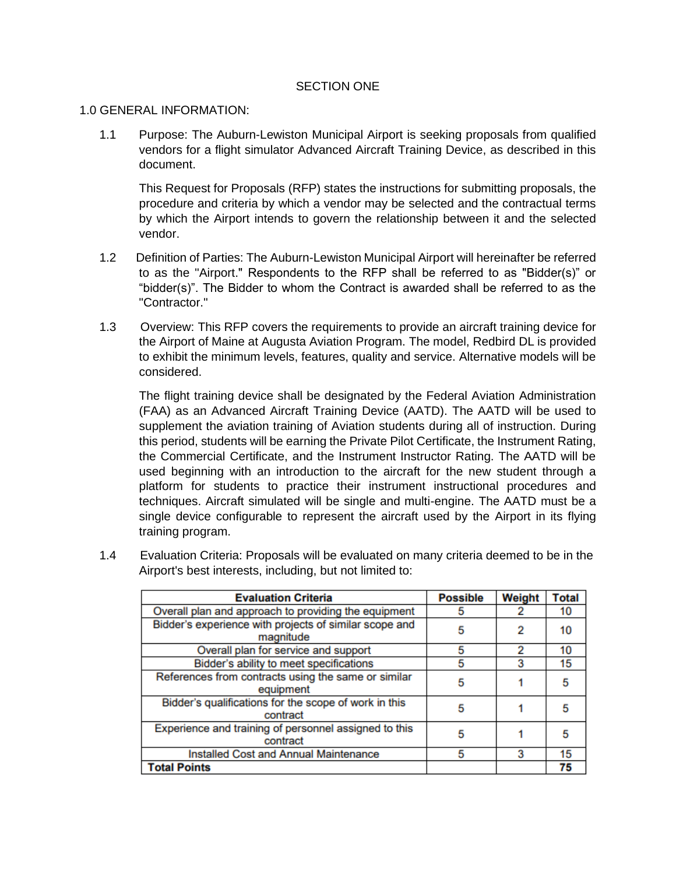## SECTION ONE

## 1.0 GENERAL INFORMATION:

1.1 Purpose: The Auburn-Lewiston Municipal Airport is seeking proposals from qualified vendors for a flight simulator Advanced Aircraft Training Device, as described in this document.

This Request for Proposals (RFP) states the instructions for submitting proposals, the procedure and criteria by which a vendor may be selected and the contractual terms by which the Airport intends to govern the relationship between it and the selected vendor.

- 1.2 Definition of Parties: The Auburn-Lewiston Municipal Airport will hereinafter be referred to as the "Airport." Respondents to the RFP shall be referred to as "Bidder(s)" or "bidder(s)". The Bidder to whom the Contract is awarded shall be referred to as the "Contractor."
- 1.3 Overview: This RFP covers the requirements to provide an aircraft training device for the Airport of Maine at Augusta Aviation Program. The model, Redbird DL is provided to exhibit the minimum levels, features, quality and service. Alternative models will be considered.

The flight training device shall be designated by the Federal Aviation Administration (FAA) as an Advanced Aircraft Training Device (AATD). The AATD will be used to supplement the aviation training of Aviation students during all of instruction. During this period, students will be earning the Private Pilot Certificate, the Instrument Rating, the Commercial Certificate, and the Instrument Instructor Rating. The AATD will be used beginning with an introduction to the aircraft for the new student through a platform for students to practice their instrument instructional procedures and techniques. Aircraft simulated will be single and multi-engine. The AATD must be a single device configurable to represent the aircraft used by the Airport in its flying training program.

| <b>Evaluation Criteria</b>                                          | <b>Possible</b> | Weight | <b>Total</b> |
|---------------------------------------------------------------------|-----------------|--------|--------------|
| Overall plan and approach to providing the equipment                | 5               |        | 10           |
| Bidder's experience with projects of similar scope and<br>magnitude | 5               | 2      | 10           |
| Overall plan for service and support                                | 5               |        | 10           |
| Bidder's ability to meet specifications                             | 5               | 3      | 15           |
| References from contracts using the same or similar<br>equipment    | 5               |        | 5            |
| Bidder's qualifications for the scope of work in this<br>contract   | 5               |        | 5            |
| Experience and training of personnel assigned to this<br>contract   | 5               |        | 5            |
| <b>Installed Cost and Annual Maintenance</b>                        | 5               | 3      | 15           |
| <b>Total Points</b>                                                 |                 |        | 75           |

1.4 Evaluation Criteria: Proposals will be evaluated on many criteria deemed to be in the Airport's best interests, including, but not limited to: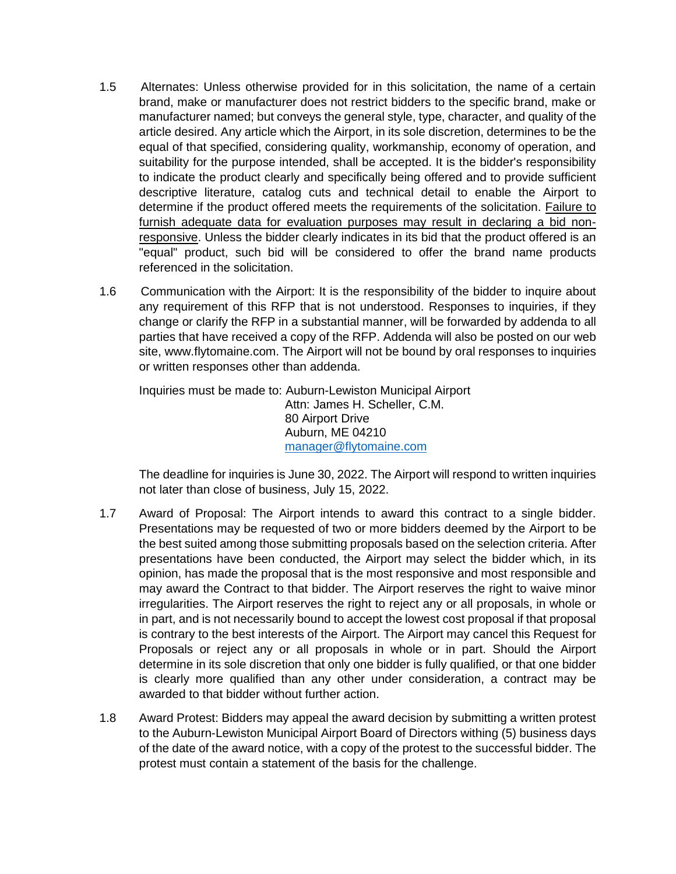- 1.5 Alternates: Unless otherwise provided for in this solicitation, the name of a certain brand, make or manufacturer does not restrict bidders to the specific brand, make or manufacturer named; but conveys the general style, type, character, and quality of the article desired. Any article which the Airport, in its sole discretion, determines to be the equal of that specified, considering quality, workmanship, economy of operation, and suitability for the purpose intended, shall be accepted. It is the bidder's responsibility to indicate the product clearly and specifically being offered and to provide sufficient descriptive literature, catalog cuts and technical detail to enable the Airport to determine if the product offered meets the requirements of the solicitation. Failure to furnish adequate data for evaluation purposes may result in declaring a bid nonresponsive. Unless the bidder clearly indicates in its bid that the product offered is an "equal" product, such bid will be considered to offer the brand name products referenced in the solicitation.
- 1.6 Communication with the Airport: It is the responsibility of the bidder to inquire about any requirement of this RFP that is not understood. Responses to inquiries, if they change or clarify the RFP in a substantial manner, will be forwarded by addenda to all parties that have received a copy of the RFP. Addenda will also be posted on our web site, www.flytomaine.com. The Airport will not be bound by oral responses to inquiries or written responses other than addenda.

Inquiries must be made to: Auburn-Lewiston Municipal Airport Attn: James H. Scheller, C.M. 80 Airport Drive Auburn, ME 04210 [manager@flytomaine.com](mailto:manager@flytomaine.com)

The deadline for inquiries is June 30, 2022. The Airport will respond to written inquiries not later than close of business, July 15, 2022.

- 1.7 Award of Proposal: The Airport intends to award this contract to a single bidder. Presentations may be requested of two or more bidders deemed by the Airport to be the best suited among those submitting proposals based on the selection criteria. After presentations have been conducted, the Airport may select the bidder which, in its opinion, has made the proposal that is the most responsive and most responsible and may award the Contract to that bidder. The Airport reserves the right to waive minor irregularities. The Airport reserves the right to reject any or all proposals, in whole or in part, and is not necessarily bound to accept the lowest cost proposal if that proposal is contrary to the best interests of the Airport. The Airport may cancel this Request for Proposals or reject any or all proposals in whole or in part. Should the Airport determine in its sole discretion that only one bidder is fully qualified, or that one bidder is clearly more qualified than any other under consideration, a contract may be awarded to that bidder without further action.
- 1.8 Award Protest: Bidders may appeal the award decision by submitting a written protest to the Auburn-Lewiston Municipal Airport Board of Directors withing (5) business days of the date of the award notice, with a copy of the protest to the successful bidder. The protest must contain a statement of the basis for the challenge.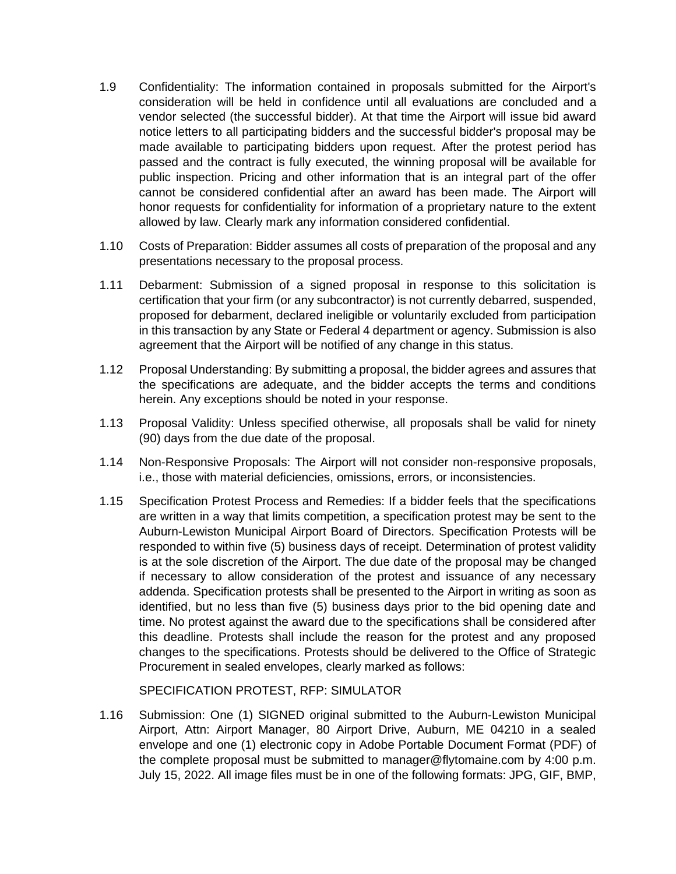- 1.9 Confidentiality: The information contained in proposals submitted for the Airport's consideration will be held in confidence until all evaluations are concluded and a vendor selected (the successful bidder). At that time the Airport will issue bid award notice letters to all participating bidders and the successful bidder's proposal may be made available to participating bidders upon request. After the protest period has passed and the contract is fully executed, the winning proposal will be available for public inspection. Pricing and other information that is an integral part of the offer cannot be considered confidential after an award has been made. The Airport will honor requests for confidentiality for information of a proprietary nature to the extent allowed by law. Clearly mark any information considered confidential.
- 1.10 Costs of Preparation: Bidder assumes all costs of preparation of the proposal and any presentations necessary to the proposal process.
- 1.11 Debarment: Submission of a signed proposal in response to this solicitation is certification that your firm (or any subcontractor) is not currently debarred, suspended, proposed for debarment, declared ineligible or voluntarily excluded from participation in this transaction by any State or Federal 4 department or agency. Submission is also agreement that the Airport will be notified of any change in this status.
- 1.12 Proposal Understanding: By submitting a proposal, the bidder agrees and assures that the specifications are adequate, and the bidder accepts the terms and conditions herein. Any exceptions should be noted in your response.
- 1.13 Proposal Validity: Unless specified otherwise, all proposals shall be valid for ninety (90) days from the due date of the proposal.
- 1.14 Non-Responsive Proposals: The Airport will not consider non-responsive proposals, i.e., those with material deficiencies, omissions, errors, or inconsistencies.
- 1.15 Specification Protest Process and Remedies: If a bidder feels that the specifications are written in a way that limits competition, a specification protest may be sent to the Auburn-Lewiston Municipal Airport Board of Directors. Specification Protests will be responded to within five (5) business days of receipt. Determination of protest validity is at the sole discretion of the Airport. The due date of the proposal may be changed if necessary to allow consideration of the protest and issuance of any necessary addenda. Specification protests shall be presented to the Airport in writing as soon as identified, but no less than five (5) business days prior to the bid opening date and time. No protest against the award due to the specifications shall be considered after this deadline. Protests shall include the reason for the protest and any proposed changes to the specifications. Protests should be delivered to the Office of Strategic Procurement in sealed envelopes, clearly marked as follows:

SPECIFICATION PROTEST, RFP: SIMULATOR

1.16 Submission: One (1) SIGNED original submitted to the Auburn-Lewiston Municipal Airport, Attn: Airport Manager, 80 Airport Drive, Auburn, ME 04210 in a sealed envelope and one (1) electronic copy in Adobe Portable Document Format (PDF) of the complete proposal must be submitted to manager@flytomaine.com by 4:00 p.m. July 15, 2022. All image files must be in one of the following formats: JPG, GIF, BMP,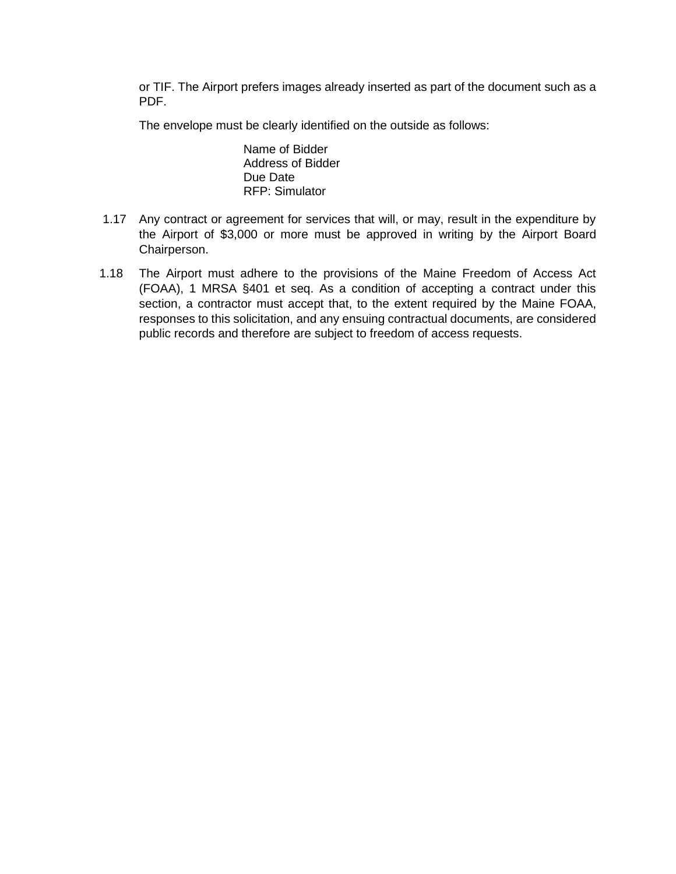or TIF. The Airport prefers images already inserted as part of the document such as a PDF.

The envelope must be clearly identified on the outside as follows:

Name of Bidder Address of Bidder Due Date RFP: Simulator

- 1.17 Any contract or agreement for services that will, or may, result in the expenditure by the Airport of \$3,000 or more must be approved in writing by the Airport Board Chairperson.
- 1.18 The Airport must adhere to the provisions of the Maine Freedom of Access Act (FOAA), 1 MRSA §401 et seq. As a condition of accepting a contract under this section, a contractor must accept that, to the extent required by the Maine FOAA, responses to this solicitation, and any ensuing contractual documents, are considered public records and therefore are subject to freedom of access requests.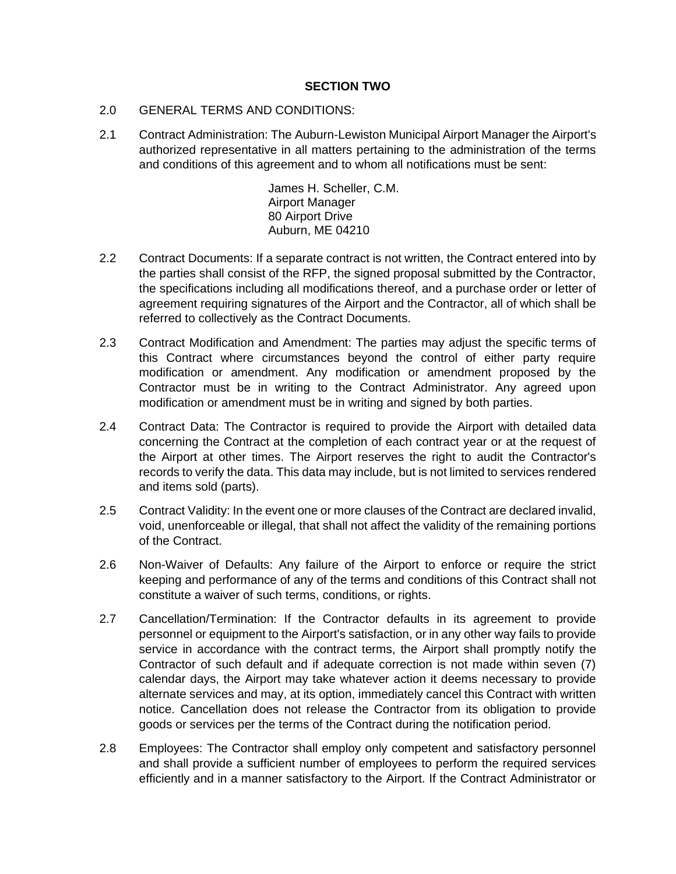## **SECTION TWO**

- 2.0 GENERAL TERMS AND CONDITIONS:
- 2.1 Contract Administration: The Auburn-Lewiston Municipal Airport Manager the Airport's authorized representative in all matters pertaining to the administration of the terms and conditions of this agreement and to whom all notifications must be sent:

James H. Scheller, C.M. Airport Manager 80 Airport Drive Auburn, ME 04210

- 2.2 Contract Documents: If a separate contract is not written, the Contract entered into by the parties shall consist of the RFP, the signed proposal submitted by the Contractor, the specifications including all modifications thereof, and a purchase order or letter of agreement requiring signatures of the Airport and the Contractor, all of which shall be referred to collectively as the Contract Documents.
- 2.3 Contract Modification and Amendment: The parties may adjust the specific terms of this Contract where circumstances beyond the control of either party require modification or amendment. Any modification or amendment proposed by the Contractor must be in writing to the Contract Administrator. Any agreed upon modification or amendment must be in writing and signed by both parties.
- 2.4 Contract Data: The Contractor is required to provide the Airport with detailed data concerning the Contract at the completion of each contract year or at the request of the Airport at other times. The Airport reserves the right to audit the Contractor's records to verify the data. This data may include, but is not limited to services rendered and items sold (parts).
- 2.5 Contract Validity: In the event one or more clauses of the Contract are declared invalid, void, unenforceable or illegal, that shall not affect the validity of the remaining portions of the Contract.
- 2.6 Non-Waiver of Defaults: Any failure of the Airport to enforce or require the strict keeping and performance of any of the terms and conditions of this Contract shall not constitute a waiver of such terms, conditions, or rights.
- 2.7 Cancellation/Termination: If the Contractor defaults in its agreement to provide personnel or equipment to the Airport's satisfaction, or in any other way fails to provide service in accordance with the contract terms, the Airport shall promptly notify the Contractor of such default and if adequate correction is not made within seven (7) calendar days, the Airport may take whatever action it deems necessary to provide alternate services and may, at its option, immediately cancel this Contract with written notice. Cancellation does not release the Contractor from its obligation to provide goods or services per the terms of the Contract during the notification period.
- 2.8 Employees: The Contractor shall employ only competent and satisfactory personnel and shall provide a sufficient number of employees to perform the required services efficiently and in a manner satisfactory to the Airport. If the Contract Administrator or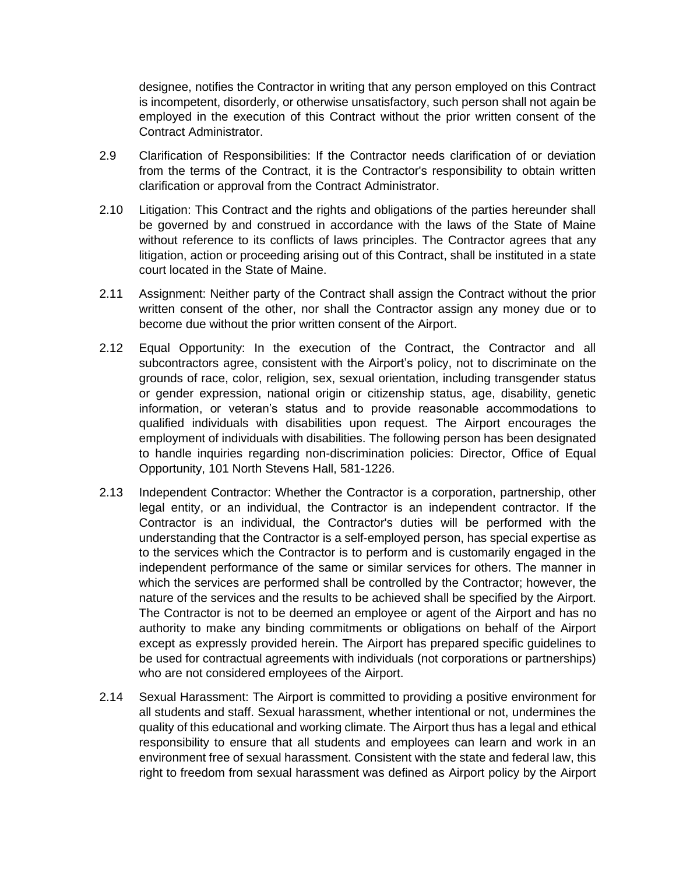designee, notifies the Contractor in writing that any person employed on this Contract is incompetent, disorderly, or otherwise unsatisfactory, such person shall not again be employed in the execution of this Contract without the prior written consent of the Contract Administrator.

- 2.9 Clarification of Responsibilities: If the Contractor needs clarification of or deviation from the terms of the Contract, it is the Contractor's responsibility to obtain written clarification or approval from the Contract Administrator.
- 2.10 Litigation: This Contract and the rights and obligations of the parties hereunder shall be governed by and construed in accordance with the laws of the State of Maine without reference to its conflicts of laws principles. The Contractor agrees that any litigation, action or proceeding arising out of this Contract, shall be instituted in a state court located in the State of Maine.
- 2.11 Assignment: Neither party of the Contract shall assign the Contract without the prior written consent of the other, nor shall the Contractor assign any money due or to become due without the prior written consent of the Airport.
- 2.12 Equal Opportunity: In the execution of the Contract, the Contractor and all subcontractors agree, consistent with the Airport's policy, not to discriminate on the grounds of race, color, religion, sex, sexual orientation, including transgender status or gender expression, national origin or citizenship status, age, disability, genetic information, or veteran's status and to provide reasonable accommodations to qualified individuals with disabilities upon request. The Airport encourages the employment of individuals with disabilities. The following person has been designated to handle inquiries regarding non-discrimination policies: Director, Office of Equal Opportunity, 101 North Stevens Hall, 581-1226.
- 2.13 Independent Contractor: Whether the Contractor is a corporation, partnership, other legal entity, or an individual, the Contractor is an independent contractor. If the Contractor is an individual, the Contractor's duties will be performed with the understanding that the Contractor is a self-employed person, has special expertise as to the services which the Contractor is to perform and is customarily engaged in the independent performance of the same or similar services for others. The manner in which the services are performed shall be controlled by the Contractor; however, the nature of the services and the results to be achieved shall be specified by the Airport. The Contractor is not to be deemed an employee or agent of the Airport and has no authority to make any binding commitments or obligations on behalf of the Airport except as expressly provided herein. The Airport has prepared specific guidelines to be used for contractual agreements with individuals (not corporations or partnerships) who are not considered employees of the Airport.
- 2.14 Sexual Harassment: The Airport is committed to providing a positive environment for all students and staff. Sexual harassment, whether intentional or not, undermines the quality of this educational and working climate. The Airport thus has a legal and ethical responsibility to ensure that all students and employees can learn and work in an environment free of sexual harassment. Consistent with the state and federal law, this right to freedom from sexual harassment was defined as Airport policy by the Airport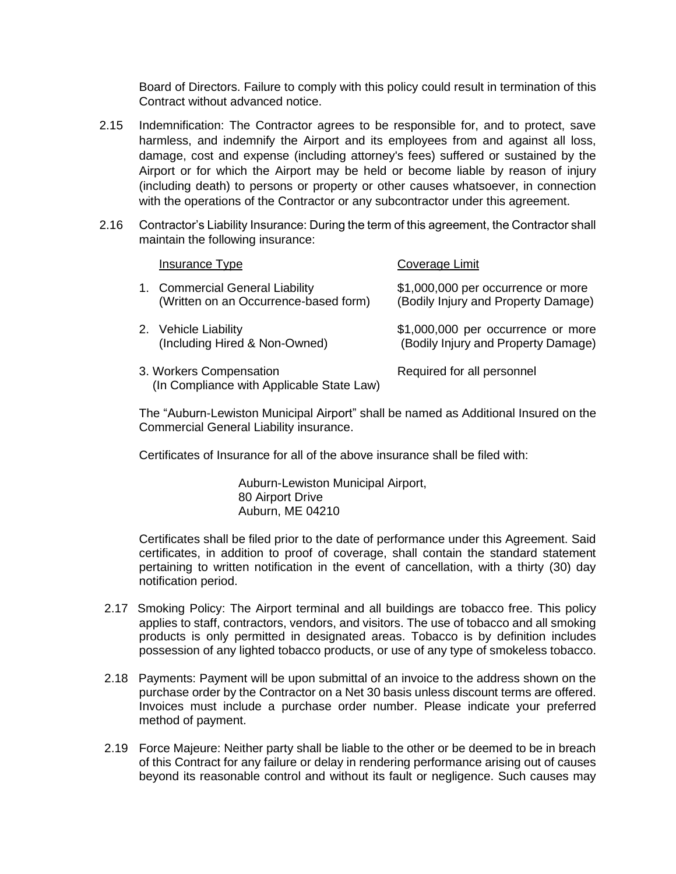Board of Directors. Failure to comply with this policy could result in termination of this Contract without advanced notice.

- 2.15 Indemnification: The Contractor agrees to be responsible for, and to protect, save harmless, and indemnify the Airport and its employees from and against all loss, damage, cost and expense (including attorney's fees) suffered or sustained by the Airport or for which the Airport may be held or become liable by reason of injury (including death) to persons or property or other causes whatsoever, in connection with the operations of the Contractor or any subcontractor under this agreement.
- 2.16 Contractor's Liability Insurance: During the term of this agreement, the Contractor shall maintain the following insurance:

| Insurance Type                                                           | Coverage Limit                                                            |
|--------------------------------------------------------------------------|---------------------------------------------------------------------------|
| 1. Commercial General Liability<br>(Written on an Occurrence-based form) | \$1,000,000 per occurrence or more<br>(Bodily Injury and Property Damage) |
| 2. Vehicle Liability<br>(Including Hired & Non-Owned)                    | \$1,000,000 per occurrence or more<br>(Bodily Injury and Property Damage) |
| 3. Workers Compensation<br>(In Compliance with Applicable State Law)     | Required for all personnel                                                |

The "Auburn-Lewiston Municipal Airport" shall be named as Additional Insured on the Commercial General Liability insurance.

Certificates of Insurance for all of the above insurance shall be filed with:

Auburn-Lewiston Municipal Airport, 80 Airport Drive Auburn, ME 04210

Certificates shall be filed prior to the date of performance under this Agreement. Said certificates, in addition to proof of coverage, shall contain the standard statement pertaining to written notification in the event of cancellation, with a thirty (30) day notification period.

- 2.17 Smoking Policy: The Airport terminal and all buildings are tobacco free. This policy applies to staff, contractors, vendors, and visitors. The use of tobacco and all smoking products is only permitted in designated areas. Tobacco is by definition includes possession of any lighted tobacco products, or use of any type of smokeless tobacco.
- 2.18 Payments: Payment will be upon submittal of an invoice to the address shown on the purchase order by the Contractor on a Net 30 basis unless discount terms are offered. Invoices must include a purchase order number. Please indicate your preferred method of payment.
- 2.19 Force Majeure: Neither party shall be liable to the other or be deemed to be in breach of this Contract for any failure or delay in rendering performance arising out of causes beyond its reasonable control and without its fault or negligence. Such causes may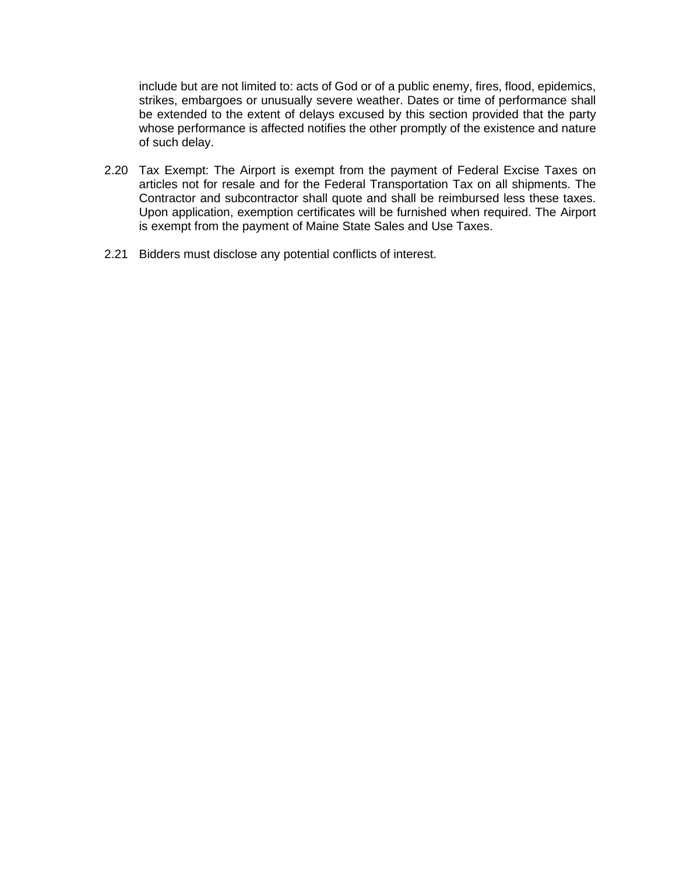include but are not limited to: acts of God or of a public enemy, fires, flood, epidemics, strikes, embargoes or unusually severe weather. Dates or time of performance shall be extended to the extent of delays excused by this section provided that the party whose performance is affected notifies the other promptly of the existence and nature of such delay.

- 2.20 Tax Exempt: The Airport is exempt from the payment of Federal Excise Taxes on articles not for resale and for the Federal Transportation Tax on all shipments. The Contractor and subcontractor shall quote and shall be reimbursed less these taxes. Upon application, exemption certificates will be furnished when required. The Airport is exempt from the payment of Maine State Sales and Use Taxes.
- 2.21 Bidders must disclose any potential conflicts of interest.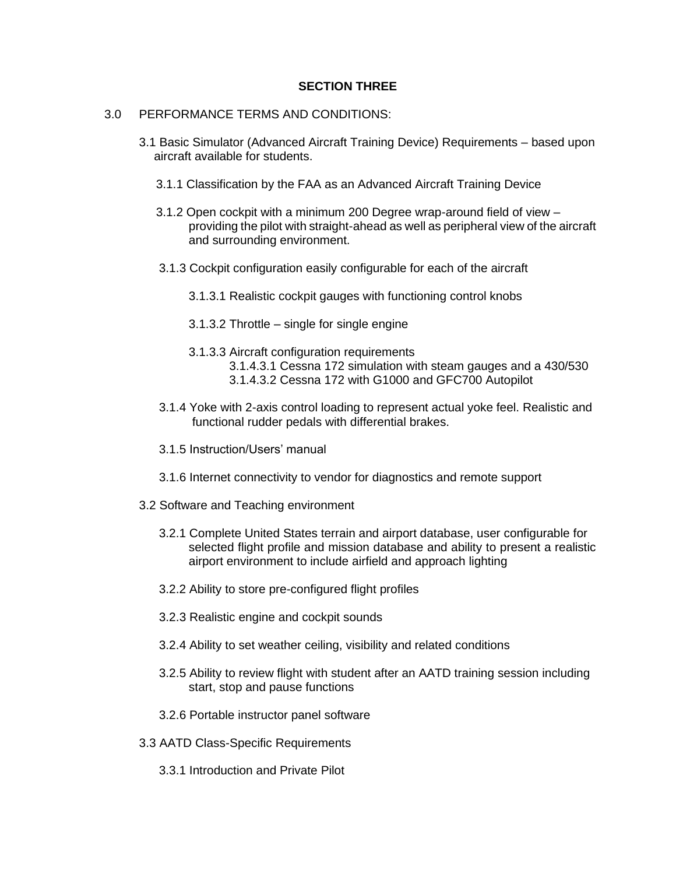## **SECTION THREE**

## 3.0 PERFORMANCE TERMS AND CONDITIONS:

- 3.1 Basic Simulator (Advanced Aircraft Training Device) Requirements based upon aircraft available for students.
	- 3.1.1 Classification by the FAA as an Advanced Aircraft Training Device
	- 3.1.2 Open cockpit with a minimum 200 Degree wrap-around field of view providing the pilot with straight-ahead as well as peripheral view of the aircraft and surrounding environment.
	- 3.1.3 Cockpit configuration easily configurable for each of the aircraft
		- 3.1.3.1 Realistic cockpit gauges with functioning control knobs
		- 3.1.3.2 Throttle single for single engine
		- 3.1.3.3 Aircraft configuration requirements 3.1.4.3.1 Cessna 172 simulation with steam gauges and a 430/530
			- 3.1.4.3.2 Cessna 172 with G1000 and GFC700 Autopilot
	- 3.1.4 Yoke with 2-axis control loading to represent actual yoke feel. Realistic and functional rudder pedals with differential brakes.
	- 3.1.5 Instruction/Users' manual
	- 3.1.6 Internet connectivity to vendor for diagnostics and remote support
- 3.2 Software and Teaching environment
	- 3.2.1 Complete United States terrain and airport database, user configurable for selected flight profile and mission database and ability to present a realistic airport environment to include airfield and approach lighting
	- 3.2.2 Ability to store pre-configured flight profiles
	- 3.2.3 Realistic engine and cockpit sounds
	- 3.2.4 Ability to set weather ceiling, visibility and related conditions
	- 3.2.5 Ability to review flight with student after an AATD training session including start, stop and pause functions
	- 3.2.6 Portable instructor panel software
- 3.3 AATD Class-Specific Requirements
	- 3.3.1 Introduction and Private Pilot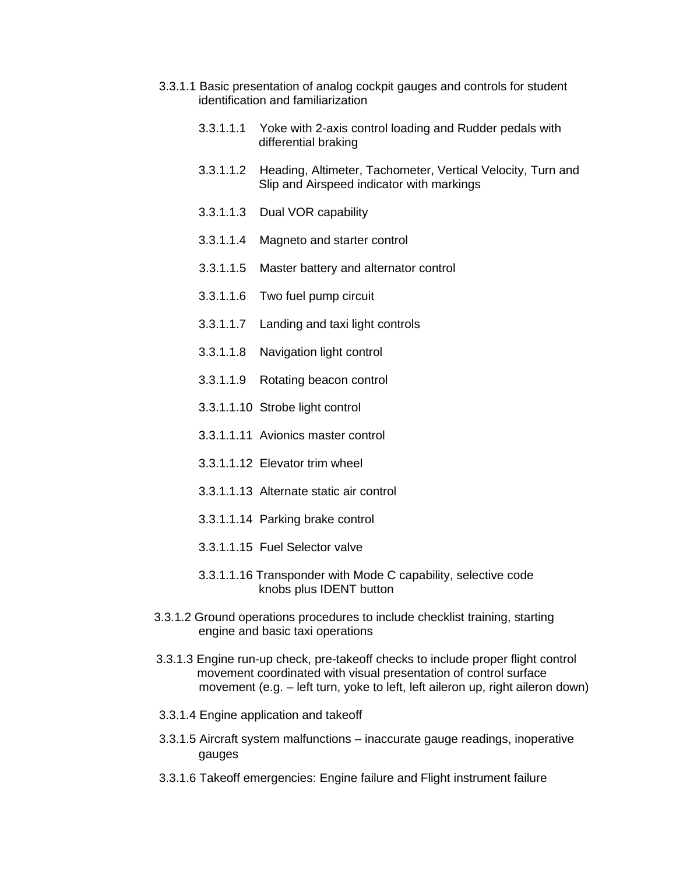- 3.3.1.1 Basic presentation of analog cockpit gauges and controls for student identification and familiarization
	- 3.3.1.1.1 Yoke with 2-axis control loading and Rudder pedals with differential braking
	- 3.3.1.1.2 Heading, Altimeter, Tachometer, Vertical Velocity, Turn and Slip and Airspeed indicator with markings
	- 3.3.1.1.3 Dual VOR capability
	- 3.3.1.1.4 Magneto and starter control
	- 3.3.1.1.5 Master battery and alternator control
	- 3.3.1.1.6 Two fuel pump circuit
	- 3.3.1.1.7 Landing and taxi light controls
	- 3.3.1.1.8 Navigation light control
	- 3.3.1.1.9 Rotating beacon control
	- 3.3.1.1.10 Strobe light control
	- 3.3.1.1.11 Avionics master control
	- 3.3.1.1.12 Elevator trim wheel
	- 3.3.1.1.13 Alternate static air control
	- 3.3.1.1.14 Parking brake control
	- 3.3.1.1.15 Fuel Selector valve
	- 3.3.1.1.16 Transponder with Mode C capability, selective code knobs plus IDENT button
- 3.3.1.2 Ground operations procedures to include checklist training, starting engine and basic taxi operations
- 3.3.1.3 Engine run-up check, pre-takeoff checks to include proper flight control movement coordinated with visual presentation of control surface movement (e.g. – left turn, yoke to left, left aileron up, right aileron down)
- 3.3.1.4 Engine application and takeoff
- 3.3.1.5 Aircraft system malfunctions inaccurate gauge readings, inoperative gauges
- 3.3.1.6 Takeoff emergencies: Engine failure and Flight instrument failure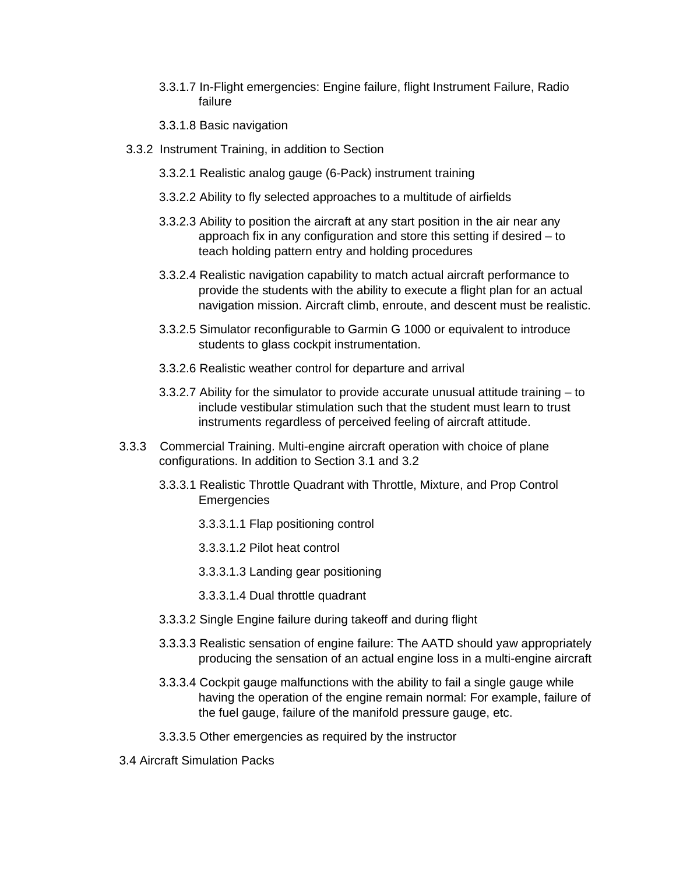- 3.3.1.7 In-Flight emergencies: Engine failure, flight Instrument Failure, Radio failure
- 3.3.1.8 Basic navigation
- 3.3.2 Instrument Training, in addition to Section
	- 3.3.2.1 Realistic analog gauge (6-Pack) instrument training
	- 3.3.2.2 Ability to fly selected approaches to a multitude of airfields
	- 3.3.2.3 Ability to position the aircraft at any start position in the air near any approach fix in any configuration and store this setting if desired – to teach holding pattern entry and holding procedures
	- 3.3.2.4 Realistic navigation capability to match actual aircraft performance to provide the students with the ability to execute a flight plan for an actual navigation mission. Aircraft climb, enroute, and descent must be realistic.
	- 3.3.2.5 Simulator reconfigurable to Garmin G 1000 or equivalent to introduce students to glass cockpit instrumentation.
	- 3.3.2.6 Realistic weather control for departure and arrival
	- 3.3.2.7 Ability for the simulator to provide accurate unusual attitude training to include vestibular stimulation such that the student must learn to trust instruments regardless of perceived feeling of aircraft attitude.
- 3.3.3 Commercial Training. Multi-engine aircraft operation with choice of plane configurations. In addition to Section 3.1 and 3.2
	- 3.3.3.1 Realistic Throttle Quadrant with Throttle, Mixture, and Prop Control **Emergencies** 
		- 3.3.3.1.1 Flap positioning control
		- 3.3.3.1.2 Pilot heat control
		- 3.3.3.1.3 Landing gear positioning
		- 3.3.3.1.4 Dual throttle quadrant
	- 3.3.3.2 Single Engine failure during takeoff and during flight
	- 3.3.3.3 Realistic sensation of engine failure: The AATD should yaw appropriately producing the sensation of an actual engine loss in a multi-engine aircraft
	- 3.3.3.4 Cockpit gauge malfunctions with the ability to fail a single gauge while having the operation of the engine remain normal: For example, failure of the fuel gauge, failure of the manifold pressure gauge, etc.
	- 3.3.3.5 Other emergencies as required by the instructor
- 3.4 Aircraft Simulation Packs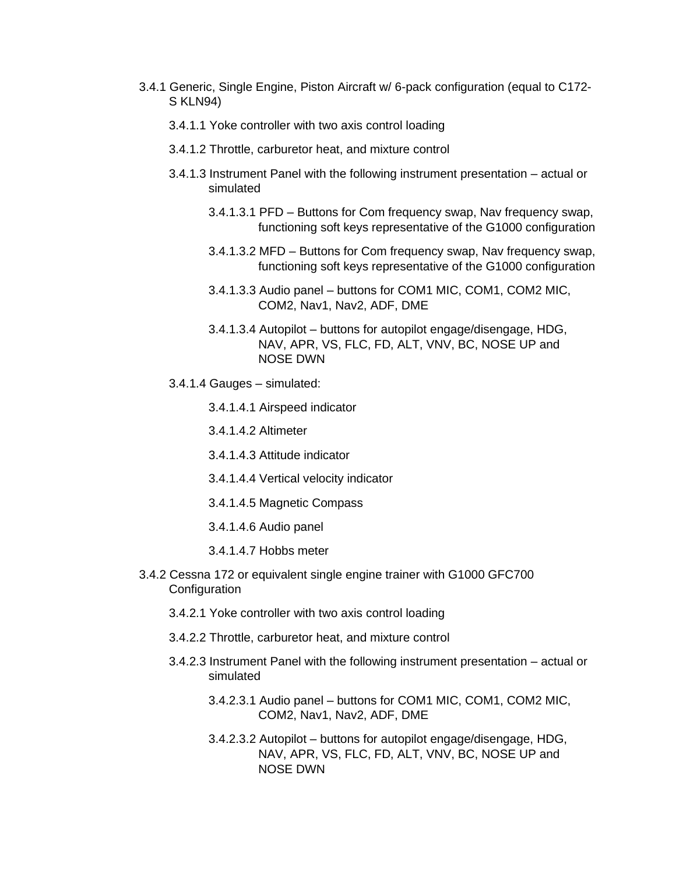- 3.4.1 Generic, Single Engine, Piston Aircraft w/ 6-pack configuration (equal to C172- S KLN94)
	- 3.4.1.1 Yoke controller with two axis control loading
	- 3.4.1.2 Throttle, carburetor heat, and mixture control
	- 3.4.1.3 Instrument Panel with the following instrument presentation actual or simulated
		- 3.4.1.3.1 PFD Buttons for Com frequency swap, Nav frequency swap, functioning soft keys representative of the G1000 configuration
		- 3.4.1.3.2 MFD Buttons for Com frequency swap, Nav frequency swap, functioning soft keys representative of the G1000 configuration
		- 3.4.1.3.3 Audio panel buttons for COM1 MIC, COM1, COM2 MIC, COM2, Nav1, Nav2, ADF, DME
		- 3.4.1.3.4 Autopilot buttons for autopilot engage/disengage, HDG, NAV, APR, VS, FLC, FD, ALT, VNV, BC, NOSE UP and NOSE DWN
	- 3.4.1.4 Gauges simulated:
		- 3.4.1.4.1 Airspeed indicator
		- 3.4.1.4.2 Altimeter
		- 3.4.1.4.3 Attitude indicator
		- 3.4.1.4.4 Vertical velocity indicator
		- 3.4.1.4.5 Magnetic Compass
		- 3.4.1.4.6 Audio panel
		- 3.4.1.4.7 Hobbs meter
- 3.4.2 Cessna 172 or equivalent single engine trainer with G1000 GFC700 **Configuration** 
	- 3.4.2.1 Yoke controller with two axis control loading
	- 3.4.2.2 Throttle, carburetor heat, and mixture control
	- 3.4.2.3 Instrument Panel with the following instrument presentation actual or simulated
		- 3.4.2.3.1 Audio panel buttons for COM1 MIC, COM1, COM2 MIC, COM2, Nav1, Nav2, ADF, DME
		- 3.4.2.3.2 Autopilot buttons for autopilot engage/disengage, HDG, NAV, APR, VS, FLC, FD, ALT, VNV, BC, NOSE UP and NOSE DWN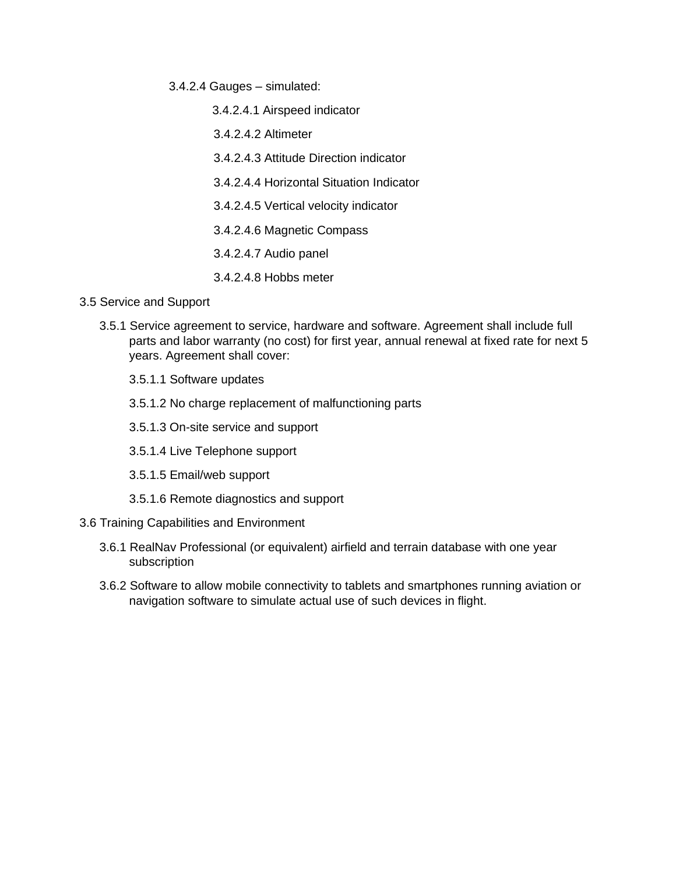- 3.4.2.4 Gauges simulated:
	- 3.4.2.4.1 Airspeed indicator
	- 3.4.2.4.2 Altimeter
	- 3.4.2.4.3 Attitude Direction indicator
	- 3.4.2.4.4 Horizontal Situation Indicator
	- 3.4.2.4.5 Vertical velocity indicator
	- 3.4.2.4.6 Magnetic Compass
	- 3.4.2.4.7 Audio panel
	- 3.4.2.4.8 Hobbs meter
- 3.5 Service and Support
	- 3.5.1 Service agreement to service, hardware and software. Agreement shall include full parts and labor warranty (no cost) for first year, annual renewal at fixed rate for next 5 years. Agreement shall cover:
		- 3.5.1.1 Software updates
		- 3.5.1.2 No charge replacement of malfunctioning parts
		- 3.5.1.3 On-site service and support
		- 3.5.1.4 Live Telephone support
		- 3.5.1.5 Email/web support
		- 3.5.1.6 Remote diagnostics and support
- 3.6 Training Capabilities and Environment
	- 3.6.1 RealNav Professional (or equivalent) airfield and terrain database with one year subscription
	- 3.6.2 Software to allow mobile connectivity to tablets and smartphones running aviation or navigation software to simulate actual use of such devices in flight.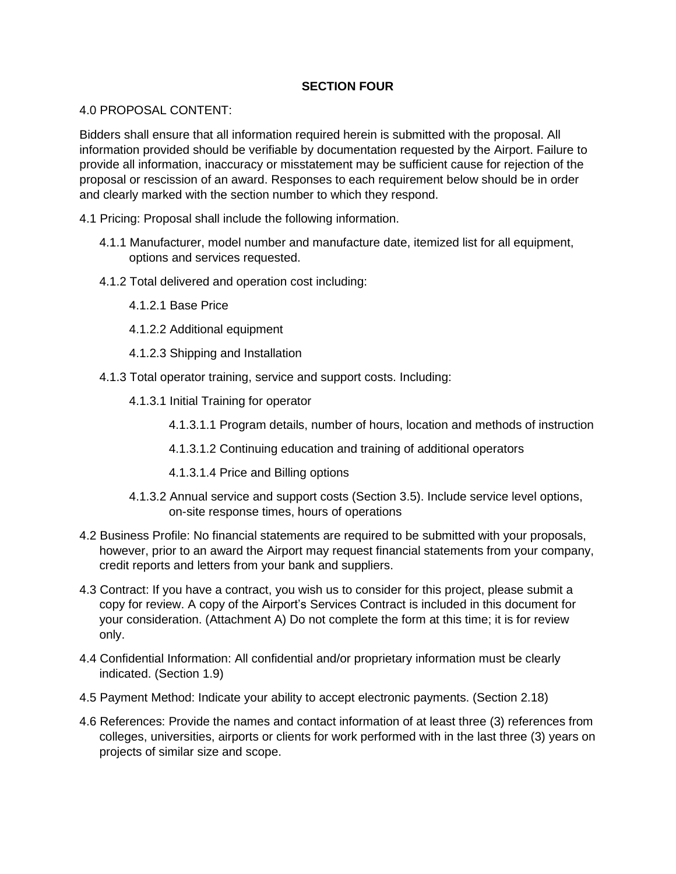# **SECTION FOUR**

## 4.0 PROPOSAL CONTENT:

Bidders shall ensure that all information required herein is submitted with the proposal. All information provided should be verifiable by documentation requested by the Airport. Failure to provide all information, inaccuracy or misstatement may be sufficient cause for rejection of the proposal or rescission of an award. Responses to each requirement below should be in order and clearly marked with the section number to which they respond.

- 4.1 Pricing: Proposal shall include the following information.
	- 4.1.1 Manufacturer, model number and manufacture date, itemized list for all equipment, options and services requested.
	- 4.1.2 Total delivered and operation cost including:
		- 4.1.2.1 Base Price
		- 4.1.2.2 Additional equipment
		- 4.1.2.3 Shipping and Installation
	- 4.1.3 Total operator training, service and support costs. Including:
		- 4.1.3.1 Initial Training for operator
			- 4.1.3.1.1 Program details, number of hours, location and methods of instruction
			- 4.1.3.1.2 Continuing education and training of additional operators
			- 4.1.3.1.4 Price and Billing options
		- 4.1.3.2 Annual service and support costs (Section 3.5). Include service level options, on-site response times, hours of operations
- 4.2 Business Profile: No financial statements are required to be submitted with your proposals, however, prior to an award the Airport may request financial statements from your company, credit reports and letters from your bank and suppliers.
- 4.3 Contract: If you have a contract, you wish us to consider for this project, please submit a copy for review. A copy of the Airport's Services Contract is included in this document for your consideration. (Attachment A) Do not complete the form at this time; it is for review only.
- 4.4 Confidential Information: All confidential and/or proprietary information must be clearly indicated. (Section 1.9)
- 4.5 Payment Method: Indicate your ability to accept electronic payments. (Section 2.18)
- 4.6 References: Provide the names and contact information of at least three (3) references from colleges, universities, airports or clients for work performed with in the last three (3) years on projects of similar size and scope.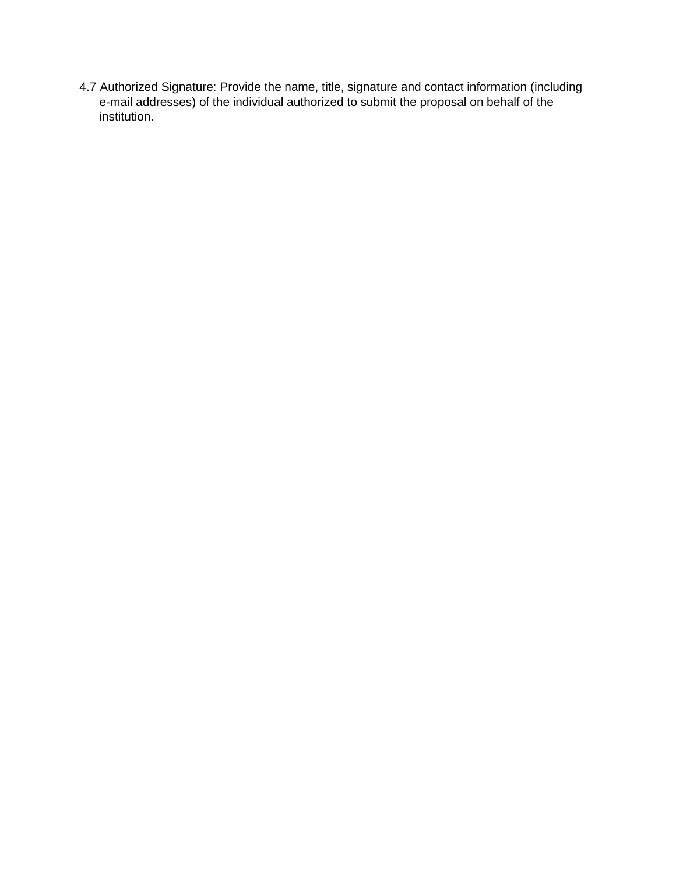4.7 Authorized Signature: Provide the name, title, signature and contact information (including e-mail addresses) of the individual authorized to submit the proposal on behalf of the institution.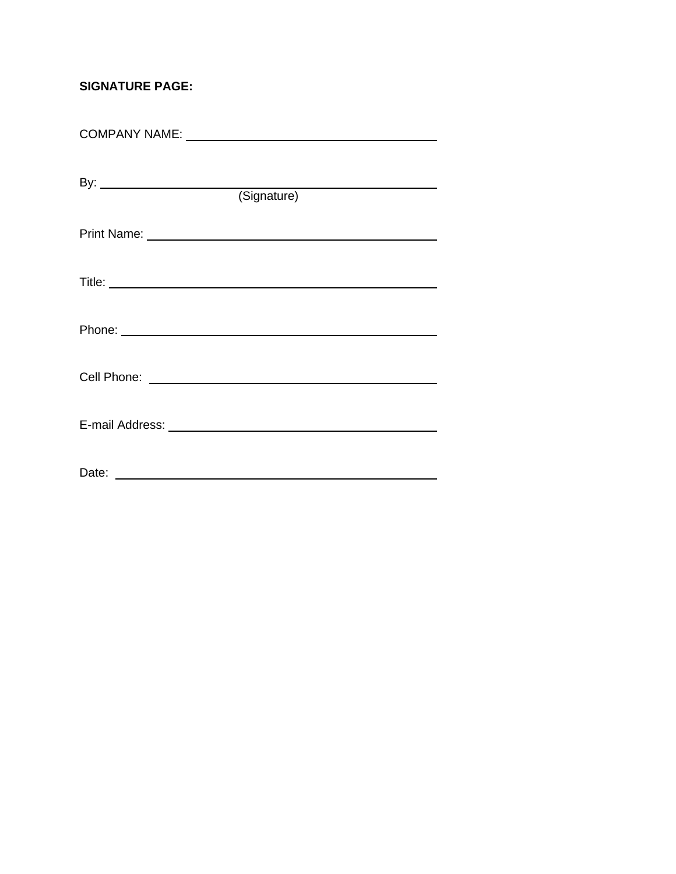# **SIGNATURE PAGE:**

| By: $\overline{\phantom{a}}$                                                                                                                                                                                                        |  |  |
|-------------------------------------------------------------------------------------------------------------------------------------------------------------------------------------------------------------------------------------|--|--|
| (Signature)                                                                                                                                                                                                                         |  |  |
| Print Name: <u>Department</u> of the Communication of the Communication of the Communication of the Communication of the Communication of the Communication of the Communication of the Communication of the Communication of the C |  |  |
|                                                                                                                                                                                                                                     |  |  |
|                                                                                                                                                                                                                                     |  |  |
|                                                                                                                                                                                                                                     |  |  |
| Phone: Note: Note: Note: Note: Note: Note: Note: Note: Note: Note: Note: Note: Note: Note: Note: Note: Note: Note: Note: Note: Note: Note: Note: Note: Note: Note: Note: Note: Note: Note: Note: Note: Note: Note: Note: Note:      |  |  |
|                                                                                                                                                                                                                                     |  |  |
| Cell Phone: <u>Queen Cell Andrew Cell</u> Phone: 2004                                                                                                                                                                               |  |  |
|                                                                                                                                                                                                                                     |  |  |
|                                                                                                                                                                                                                                     |  |  |
|                                                                                                                                                                                                                                     |  |  |
|                                                                                                                                                                                                                                     |  |  |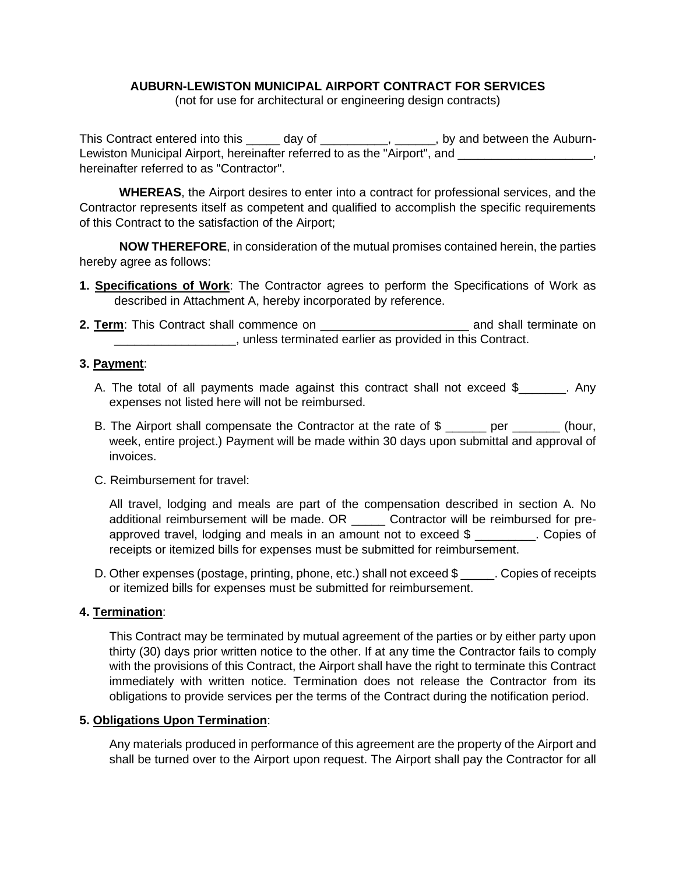# **AUBURN-LEWISTON MUNICIPAL AIRPORT CONTRACT FOR SERVICES**

(not for use for architectural or engineering design contracts)

This Contract entered into this \_\_\_\_\_ day of \_\_\_\_\_\_\_\_\_, \_\_\_\_\_, by and between the Auburn-Lewiston Municipal Airport, hereinafter referred to as the "Airport", and \_\_\_\_\_\_\_\_\_\_\_\_\_\_\_\_\_\_\_, hereinafter referred to as "Contractor".

**WHEREAS**, the Airport desires to enter into a contract for professional services, and the Contractor represents itself as competent and qualified to accomplish the specific requirements of this Contract to the satisfaction of the Airport;

**NOW THEREFORE**, in consideration of the mutual promises contained herein, the parties hereby agree as follows:

- **1. Specifications of Work**: The Contractor agrees to perform the Specifications of Work as described in Attachment A, hereby incorporated by reference.
- **2. Term**: This Contract shall commence on \_\_\_\_\_\_\_\_\_\_\_\_\_\_\_\_\_\_\_\_\_\_ and shall terminate on \_\_\_\_\_\_\_\_\_\_\_\_\_\_\_\_\_\_, unless terminated earlier as provided in this Contract.

# **3. Payment**:

- A. The total of all payments made against this contract shall not exceed \$\_\_\_\_\_\_\_. Any expenses not listed here will not be reimbursed.
- B. The Airport shall compensate the Contractor at the rate of \$ per (hour, week, entire project.) Payment will be made within 30 days upon submittal and approval of invoices.
- C. Reimbursement for travel:

All travel, lodging and meals are part of the compensation described in section A. No additional reimbursement will be made. OR \_\_\_\_\_ Contractor will be reimbursed for preapproved travel, lodging and meals in an amount not to exceed \$ \_\_\_\_\_\_\_\_\_. Copies of receipts or itemized bills for expenses must be submitted for reimbursement.

D. Other expenses (postage, printing, phone, etc.) shall not exceed \$ ... Copies of receipts or itemized bills for expenses must be submitted for reimbursement.

## **4. Termination**:

This Contract may be terminated by mutual agreement of the parties or by either party upon thirty (30) days prior written notice to the other. If at any time the Contractor fails to comply with the provisions of this Contract, the Airport shall have the right to terminate this Contract immediately with written notice. Termination does not release the Contractor from its obligations to provide services per the terms of the Contract during the notification period.

## **5. Obligations Upon Termination**:

Any materials produced in performance of this agreement are the property of the Airport and shall be turned over to the Airport upon request. The Airport shall pay the Contractor for all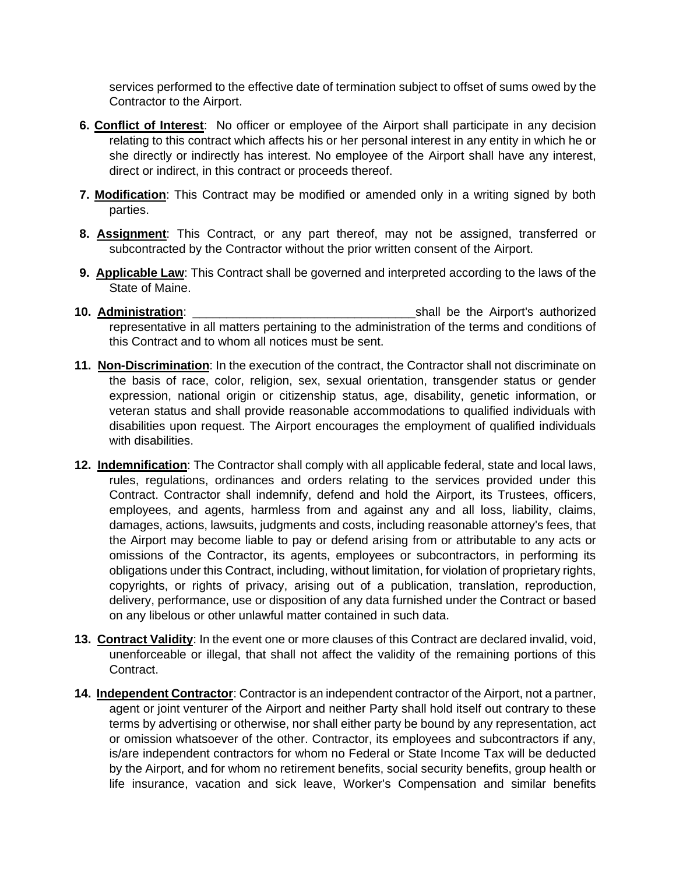services performed to the effective date of termination subject to offset of sums owed by the Contractor to the Airport.

- **6. Conflict of Interest**: No officer or employee of the Airport shall participate in any decision relating to this contract which affects his or her personal interest in any entity in which he or she directly or indirectly has interest. No employee of the Airport shall have any interest, direct or indirect, in this contract or proceeds thereof.
- **7. Modification**: This Contract may be modified or amended only in a writing signed by both parties.
- **8. Assignment**: This Contract, or any part thereof, may not be assigned, transferred or subcontracted by the Contractor without the prior written consent of the Airport.
- **9. Applicable Law**: This Contract shall be governed and interpreted according to the laws of the State of Maine.
- **10. Administration**: \_\_\_\_\_\_\_\_\_\_\_\_\_\_\_\_\_\_\_\_\_\_\_\_\_\_\_\_\_\_\_\_\_shall be the Airport's authorized representative in all matters pertaining to the administration of the terms and conditions of this Contract and to whom all notices must be sent.
- **11. Non-Discrimination**: In the execution of the contract, the Contractor shall not discriminate on the basis of race, color, religion, sex, sexual orientation, transgender status or gender expression, national origin or citizenship status, age, disability, genetic information, or veteran status and shall provide reasonable accommodations to qualified individuals with disabilities upon request. The Airport encourages the employment of qualified individuals with disabilities.
- **12. Indemnification**: The Contractor shall comply with all applicable federal, state and local laws, rules, regulations, ordinances and orders relating to the services provided under this Contract. Contractor shall indemnify, defend and hold the Airport, its Trustees, officers, employees, and agents, harmless from and against any and all loss, liability, claims, damages, actions, lawsuits, judgments and costs, including reasonable attorney's fees, that the Airport may become liable to pay or defend arising from or attributable to any acts or omissions of the Contractor, its agents, employees or subcontractors, in performing its obligations under this Contract, including, without limitation, for violation of proprietary rights, copyrights, or rights of privacy, arising out of a publication, translation, reproduction, delivery, performance, use or disposition of any data furnished under the Contract or based on any libelous or other unlawful matter contained in such data.
- **13. Contract Validity**: In the event one or more clauses of this Contract are declared invalid, void, unenforceable or illegal, that shall not affect the validity of the remaining portions of this Contract.
- **14. Independent Contractor**: Contractor is an independent contractor of the Airport, not a partner, agent or joint venturer of the Airport and neither Party shall hold itself out contrary to these terms by advertising or otherwise, nor shall either party be bound by any representation, act or omission whatsoever of the other. Contractor, its employees and subcontractors if any, is/are independent contractors for whom no Federal or State Income Tax will be deducted by the Airport, and for whom no retirement benefits, social security benefits, group health or life insurance, vacation and sick leave, Worker's Compensation and similar benefits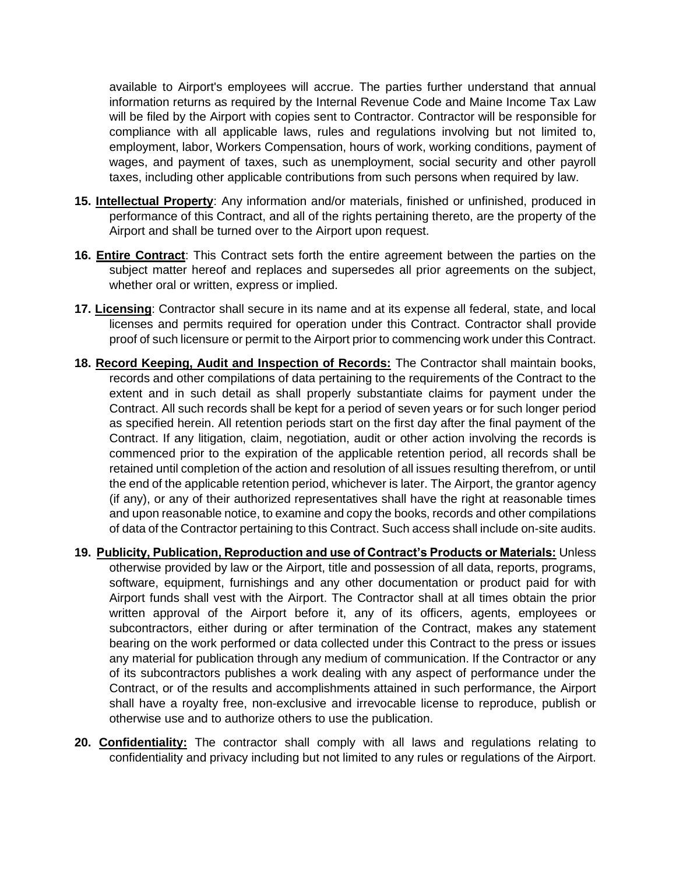available to Airport's employees will accrue. The parties further understand that annual information returns as required by the Internal Revenue Code and Maine Income Tax Law will be filed by the Airport with copies sent to Contractor. Contractor will be responsible for compliance with all applicable laws, rules and regulations involving but not limited to, employment, labor, Workers Compensation, hours of work, working conditions, payment of wages, and payment of taxes, such as unemployment, social security and other payroll taxes, including other applicable contributions from such persons when required by law.

- **15. Intellectual Property**: Any information and/or materials, finished or unfinished, produced in performance of this Contract, and all of the rights pertaining thereto, are the property of the Airport and shall be turned over to the Airport upon request.
- **16. Entire Contract**: This Contract sets forth the entire agreement between the parties on the subject matter hereof and replaces and supersedes all prior agreements on the subject, whether oral or written, express or implied.
- **17. Licensing**: Contractor shall secure in its name and at its expense all federal, state, and local licenses and permits required for operation under this Contract. Contractor shall provide proof of such licensure or permit to the Airport prior to commencing work under this Contract.
- **18. Record Keeping, Audit and Inspection of Records:** The Contractor shall maintain books, records and other compilations of data pertaining to the requirements of the Contract to the extent and in such detail as shall properly substantiate claims for payment under the Contract. All such records shall be kept for a period of seven years or for such longer period as specified herein. All retention periods start on the first day after the final payment of the Contract. If any litigation, claim, negotiation, audit or other action involving the records is commenced prior to the expiration of the applicable retention period, all records shall be retained until completion of the action and resolution of all issues resulting therefrom, or until the end of the applicable retention period, whichever is later. The Airport, the grantor agency (if any), or any of their authorized representatives shall have the right at reasonable times and upon reasonable notice, to examine and copy the books, records and other compilations of data of the Contractor pertaining to this Contract. Such access shall include on-site audits.
- **19. Publicity, Publication, Reproduction and use of Contract's Products or Materials:** Unless otherwise provided by law or the Airport, title and possession of all data, reports, programs, software, equipment, furnishings and any other documentation or product paid for with Airport funds shall vest with the Airport. The Contractor shall at all times obtain the prior written approval of the Airport before it, any of its officers, agents, employees or subcontractors, either during or after termination of the Contract, makes any statement bearing on the work performed or data collected under this Contract to the press or issues any material for publication through any medium of communication. If the Contractor or any of its subcontractors publishes a work dealing with any aspect of performance under the Contract, or of the results and accomplishments attained in such performance, the Airport shall have a royalty free, non-exclusive and irrevocable license to reproduce, publish or otherwise use and to authorize others to use the publication.
- **20. Confidentiality:** The contractor shall comply with all laws and regulations relating to confidentiality and privacy including but not limited to any rules or regulations of the Airport.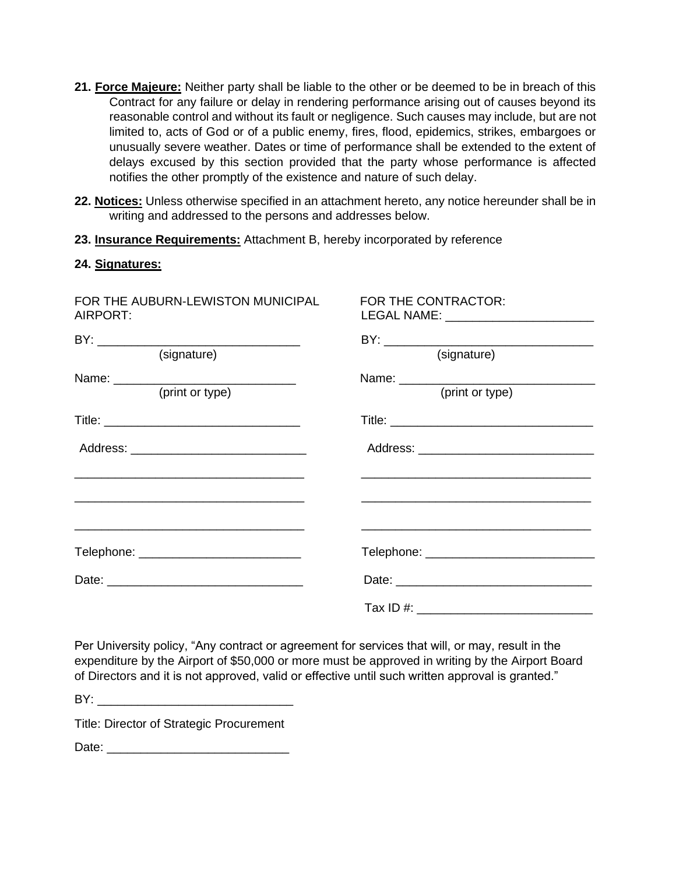- **21. Force Majeure:** Neither party shall be liable to the other or be deemed to be in breach of this Contract for any failure or delay in rendering performance arising out of causes beyond its reasonable control and without its fault or negligence. Such causes may include, but are not limited to, acts of God or of a public enemy, fires, flood, epidemics, strikes, embargoes or unusually severe weather. Dates or time of performance shall be extended to the extent of delays excused by this section provided that the party whose performance is affected notifies the other promptly of the existence and nature of such delay.
- **22. Notices:** Unless otherwise specified in an attachment hereto, any notice hereunder shall be in writing and addressed to the persons and addresses below.
- **23. Insurance Requirements:** Attachment B, hereby incorporated by reference

## **24. Signatures:**

| FOR THE AUBURN-LEWISTON MUNICIPAL<br>AIRPORT:             | FOR THE CONTRACTOR:<br>LEGAL NAME: _____________________________ |
|-----------------------------------------------------------|------------------------------------------------------------------|
|                                                           |                                                                  |
| (signature)                                               | (signature)                                                      |
| (print or type)                                           | (print or type)                                                  |
|                                                           |                                                                  |
|                                                           |                                                                  |
| <u> 1989 - John Stein, Amerikaansk politiker (* 1989)</u> |                                                                  |
|                                                           |                                                                  |
|                                                           |                                                                  |
|                                                           |                                                                  |

Per University policy, "Any contract or agreement for services that will, or may, result in the expenditure by the Airport of \$50,000 or more must be approved in writing by the Airport Board of Directors and it is not approved, valid or effective until such written approval is granted."

BY: \_\_\_\_\_\_\_\_\_\_\_\_\_\_\_\_\_\_\_\_\_\_\_\_\_\_\_\_\_

Title: Director of Strategic Procurement

Date: \_\_\_\_\_\_\_\_\_\_\_\_\_\_\_\_\_\_\_\_\_\_\_\_\_\_\_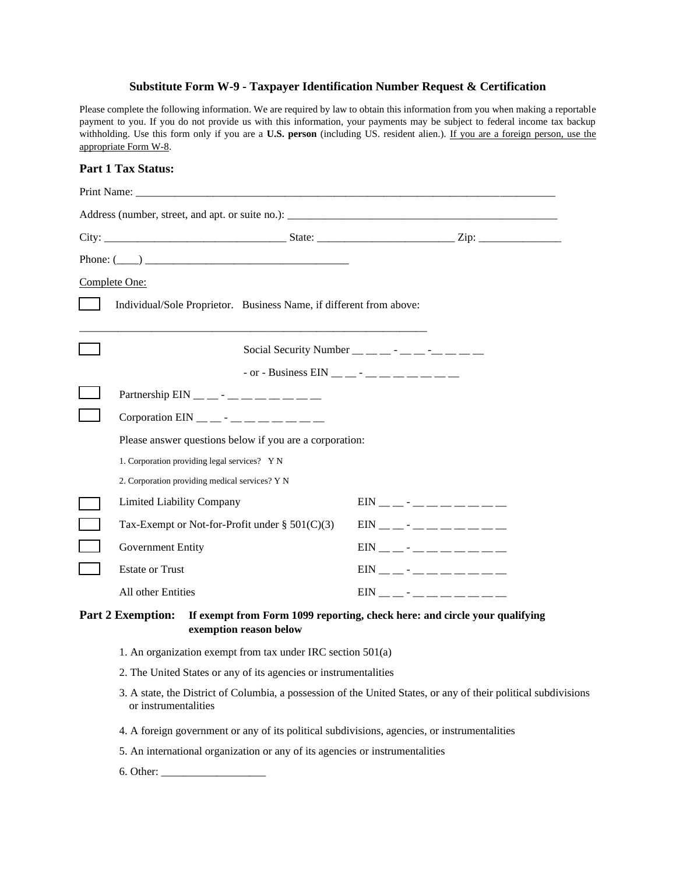#### **Substitute Form W-9 - Taxpayer Identification Number Request & Certification**

Please complete the following information. We are required by law to obtain this information from you when making a reportable payment to you. If you do not provide us with this information, your payments may be subject to federal income tax backup withholding. Use this form only if you are a **U.S. person** (including US. resident alien.). If you are a foreign person, use the appropriate Form W-8.

#### **Part 1 Tax Status:**

|                                                                                                                                  | Phone: $(\_\_)$                                                     |                                                                 |                               |  |
|----------------------------------------------------------------------------------------------------------------------------------|---------------------------------------------------------------------|-----------------------------------------------------------------|-------------------------------|--|
|                                                                                                                                  | Complete One:                                                       |                                                                 |                               |  |
|                                                                                                                                  | Individual/Sole Proprietor. Business Name, if different from above: |                                                                 |                               |  |
|                                                                                                                                  |                                                                     | Social Security Number $\_\_$ $\_\_$ - $\_\_$ - $\_\_$ - $\_\_$ |                               |  |
|                                                                                                                                  |                                                                     | - or - Business EIN __ _ - _ _ _ _ _ _ _ _ _ _                  |                               |  |
|                                                                                                                                  | Partnership $EIN$ <sub>__</sub> ____________                        |                                                                 |                               |  |
|                                                                                                                                  | Corporation EIN __ _ - _ _ _ _ _ _ _ _ _ _                          |                                                                 |                               |  |
|                                                                                                                                  | Please answer questions below if you are a corporation:             |                                                                 |                               |  |
|                                                                                                                                  | 1. Corporation providing legal services? Y N                        |                                                                 |                               |  |
|                                                                                                                                  | 2. Corporation providing medical services? Y N                      |                                                                 |                               |  |
|                                                                                                                                  | <b>Limited Liability Company</b>                                    |                                                                 | $EN$ _ _ - _ _ _ _ _ _ _ _    |  |
|                                                                                                                                  | Tax-Exempt or Not-for-Profit under $\S 501(C)(3)$                   |                                                                 | $EIN$ _ _ - _ _ _ _ _ _ _ _   |  |
|                                                                                                                                  | Government Entity                                                   |                                                                 | $EN$ _ _ - _ _ _ _ _ _ _ _    |  |
|                                                                                                                                  | <b>Estate or Trust</b>                                              |                                                                 | $EN$ _ _ - _ _ _ _ _ _ _ _    |  |
|                                                                                                                                  | All other Entities                                                  |                                                                 | $EIN$ _ _ - _ _ _ _ _ _ _ _ _ |  |
| <b>Part 2 Exemption:</b><br>If exempt from Form 1099 reporting, check here: and circle your qualifying<br>exemption reason below |                                                                     |                                                                 |                               |  |

- 1. An organization exempt from tax under IRC section 501(a)
- 2. The United States or any of its agencies or instrumentalities
- 3. A state, the District of Columbia, a possession of the United States, or any of their political subdivisions or instrumentalities
- 4. A foreign government or any of its political subdivisions, agencies, or instrumentalities
- 5. An international organization or any of its agencies or instrumentalities
- 6. Other: \_\_\_\_\_\_\_\_\_\_\_\_\_\_\_\_\_\_\_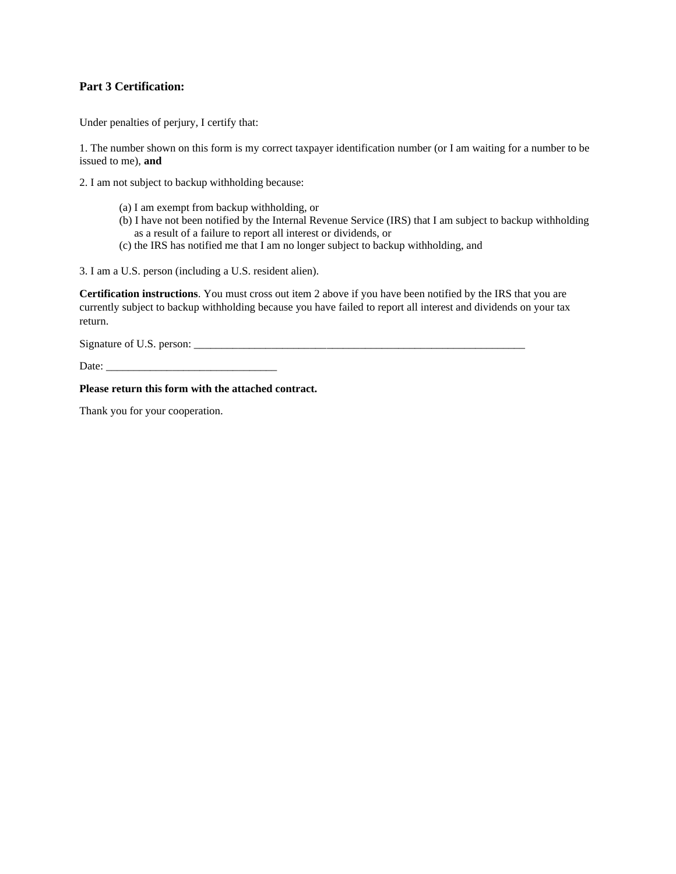## **Part 3 Certification:**

Under penalties of perjury, I certify that:

1. The number shown on this form is my correct taxpayer identification number (or I am waiting for a number to be issued to me), **and**

2. I am not subject to backup withholding because:

- (a) I am exempt from backup withholding, or
- (b) I have not been notified by the Internal Revenue Service (IRS) that I am subject to backup withholding as a result of a failure to report all interest or dividends, or
- (c) the IRS has notified me that I am no longer subject to backup withholding, and

3. I am a U.S. person (including a U.S. resident alien).

**Certification instructions**. You must cross out item 2 above if you have been notified by the IRS that you are currently subject to backup withholding because you have failed to report all interest and dividends on your tax return.

Signature of U.S. person: \_\_\_\_\_\_\_\_\_\_\_\_\_\_\_\_\_\_\_\_\_\_\_\_\_\_\_\_\_\_\_\_\_\_\_\_\_\_\_\_\_\_\_\_\_\_\_\_\_\_\_\_\_\_\_\_\_\_\_\_

Date:

### **Please return this form with the attached contract.**

Thank you for your cooperation.